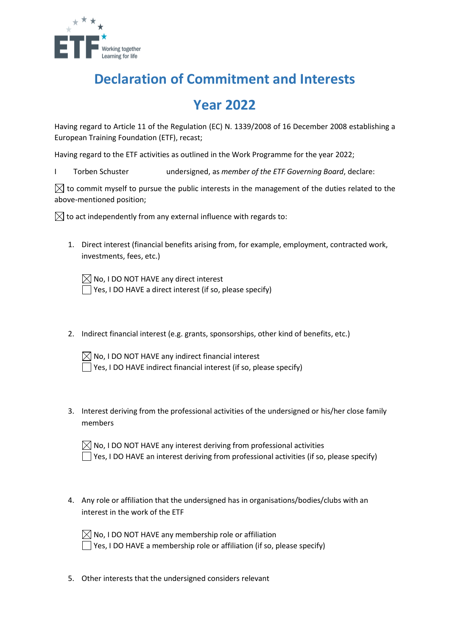

## **Declaration of Commitment and Interests**

## **Year 2022**

Having regard to Article 11 of the Regulation (EC) N. 1339/2008 of 16 December 2008 establishing a European Training Foundation (ETF), recast;

Having regard to the ETF activities as outlined in the Work Programme for the year 2022;

I Torben Schuster undersigned, as *member of the ETF Governing Board*, declare:

 $\boxtimes$  to commit myself to pursue the public interests in the management of the duties related to the above-mentioned position;

 $\boxtimes$  to act independently from any external influence with regards to:

1. Direct interest (financial benefits arising from, for example, employment, contracted work, investments, fees, etc.)

 $\boxtimes$  No, I DO NOT HAVE any direct interest  $\Box$  Yes, I DO HAVE a direct interest (if so, please specify)

- 2. Indirect financial interest (e.g. grants, sponsorships, other kind of benefits, etc.)
	- $\boxtimes$  No, I DO NOT HAVE any indirect financial interest  $\Box$  Yes, I DO HAVE indirect financial interest (if so, please specify)
- 3. Interest deriving from the professional activities of the undersigned or his/her close family members

| $\boxtimes$ No, I DO NOT HAVE any interest deriving from professional activities         |
|------------------------------------------------------------------------------------------|
| Yes, I DO HAVE an interest deriving from professional activities (if so, please specify) |

4. Any role or affiliation that the undersigned has in organisations/bodies/clubs with an interest in the work of the ETF

| $\boxtimes$ No, I DO NOT HAVE any membership role or affiliation        |
|-------------------------------------------------------------------------|
| Yes, I DO HAVE a membership role or affiliation (if so, please specify) |

5. Other interests that the undersigned considers relevant

 $\overline{\phantom{a}}$